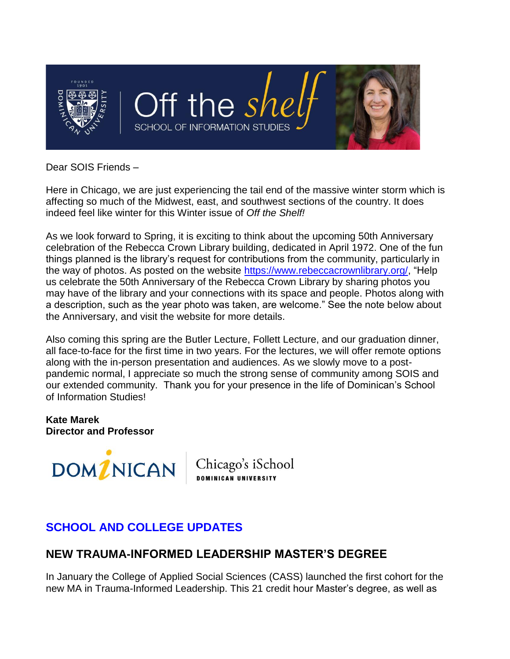

Dear SOIS Friends –

Here in Chicago, we are just experiencing the tail end of the massive winter storm which is affecting so much of the Midwest, east, and southwest sections of the country. It does indeed feel like winter for this Winter issue of *Off the Shelf!*

As we look forward to Spring, it is exciting to think about the upcoming 50th Anniversary celebration of the Rebecca Crown Library building, dedicated in April 1972. One of the fun things planned is the library's request for contributions from the community, particularly in the way of photos. As posted on the website [https://www.rebeccacrownlibrary.org/,](https://connect.dom.edu/page.redir?target=https%3a%2f%2fwww.rebeccacrownlibrary.org%2f&srcid=33979&srctid=1&erid=6410116&trid=) "Help us celebrate the 50th Anniversary of the Rebecca Crown Library by sharing photos you may have of the library and your connections with its space and people. Photos along with a description, such as the year photo was taken, are welcome." See the note below about the Anniversary, and visit the website for more details.

Also coming this spring are the Butler Lecture, Follett Lecture, and our graduation dinner, all face-to-face for the first time in two years. For the lectures, we will offer remote options along with the in-person presentation and audiences. As we slowly move to a postpandemic normal, I appreciate so much the strong sense of community among SOIS and our extended community. Thank you for your presence in the life of Dominican's School of Information Studies!

**Kate Marek Director and Professor**



Chicago's iSchool<br><sub>Dominican university</sub>

# **SCHOOL AND COLLEGE UPDATES**

## **NEW TRAUMA-INFORMED LEADERSHIP MASTER'S DEGREE**

In January the College of Applied Social Sciences (CASS) launched the first cohort for the new MA in Trauma-Informed Leadership. This 21 credit hour Master's degree, as well as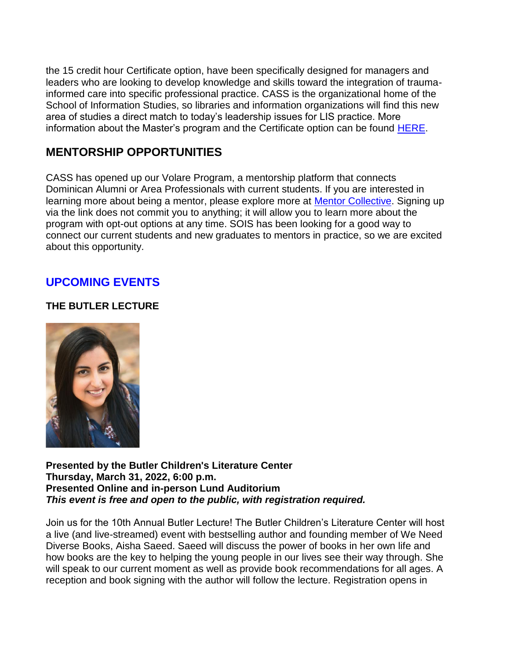the 15 credit hour Certificate option, have been specifically designed for managers and leaders who are looking to develop knowledge and skills toward the integration of traumainformed care into specific professional practice. CASS is the organizational home of the School of Information Studies, so libraries and information organizations will find this new area of studies a direct match to today's leadership issues for LIS practice. More information about the Master's program and the Certificate option can be found [HERE.](https://connect.dom.edu/page.redir?target=http%3a%2f%2fwww.dom.edu%2fadmission%2fgraduate%2fcollege-applied-social-sciences%2fma-trauma-informed-leadership&srcid=33979&srctid=1&erid=6410116&trid=)

### **MENTORSHIP OPPORTUNITIES**

CASS has opened up our Volare Program, a mentorship platform that connects Dominican Alumni or Area Professionals with current students. If you are interested in learning more about being a mentor, please explore more at [Mentor Collective.](https://connect.dom.edu/page.redir?target=http%3a%2f%2fdom.mentorcollective.org%2fregister%2fdu-grad%2fmentor&srcid=33979&srctid=1&erid=6410116&trid=) Signing up via the link does not commit you to anything; it will allow you to learn more about the program with opt-out options at any time. SOIS has been looking for a good way to connect our current students and new graduates to mentors in practice, so we are excited about this opportunity.

### **UPCOMING EVENTS**

#### **THE BUTLER LECTURE**



**Presented by the Butler Children's Literature Center Thursday, March 31, 2022, 6:00 p.m. Presented Online and in-person Lund Auditorium**  *This event is free and open to the public, with registration required.*

Join us for the 10th Annual Butler Lecture! The Butler Children's Literature Center will host a live (and live-streamed) event with bestselling author and founding member of We Need Diverse Books, Aisha Saeed. Saeed will discuss the power of books in her own life and how books are the key to helping the young people in our lives see their way through. She will speak to our current moment as well as provide book recommendations for all ages. A reception and book signing with the author will follow the lecture. Registration opens in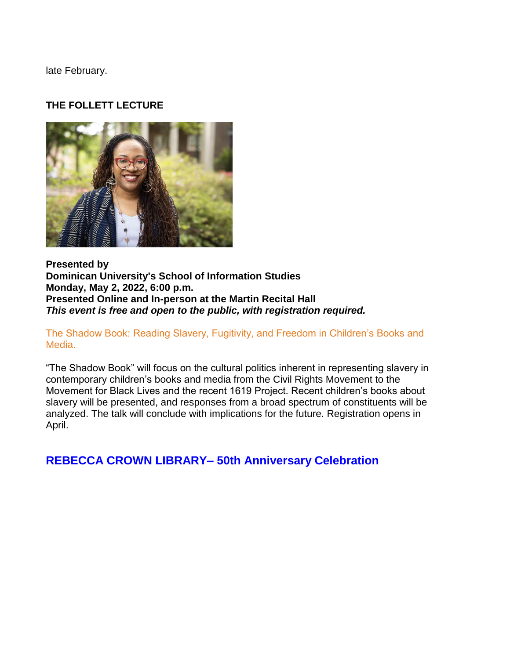late February.

#### **THE FOLLETT LECTURE**



**Presented by Dominican University's School of Information Studies Monday, May 2, 2022, 6:00 p.m. Presented Online and In-person at the Martin Recital Hall**  *This event is free and open to the public, with registration required.*

The Shadow Book: Reading Slavery, Fugitivity, and Freedom in Children's Books and Media.

"The Shadow Book" will focus on the cultural politics inherent in representing slavery in contemporary children's books and media from the Civil Rights Movement to the Movement for Black Lives and the recent 1619 Project. Recent children's books about slavery will be presented, and responses from a broad spectrum of constituents will be analyzed. The talk will conclude with implications for the future. Registration opens in April.

**REBECCA CROWN LIBRARY– 50th Anniversary Celebration**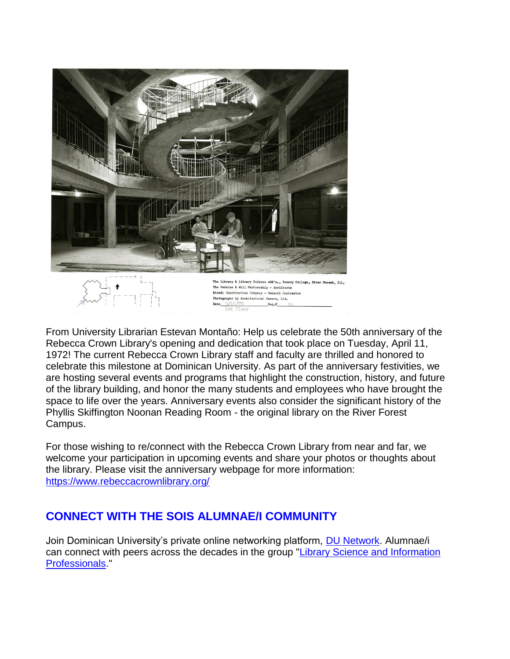

From University Librarian Estevan Montaño: Help us celebrate the 50th anniversary of the Rebecca Crown Library's opening and dedication that took place on Tuesday, April 11, 1972! The current Rebecca Crown Library staff and faculty are thrilled and honored to celebrate this milestone at Dominican University. As part of the anniversary festivities, we are hosting several events and programs that highlight the construction, history, and future of the library building, and honor the many students and employees who have brought the space to life over the years. Anniversary events also consider the significant history of the Phyllis Skiffington Noonan Reading Room - the original library on the River Forest Campus.

 $Neg.#$ 

For those wishing to re/connect with the Rebecca Crown Library from near and far, we welcome your participation in upcoming events and share your photos or thoughts about the library. Please visit the anniversary webpage for more information: [https://www.rebeccacrownlibrary.org/](https://connect.dom.edu/page.redir?target=https%3a%2f%2fwww.rebeccacrownlibrary.org%2f&srcid=33979&srctid=1&erid=6410116&trid=)

## **CONNECT WITH THE SOIS ALUMNAE/I COMMUNITY**

Join Dominican University's private online networking platform, [DU Network.](https://connect.dom.edu/page.redir?target=http%3a%2f%2fdunetwork.org%2f&srcid=33979&srctid=1&erid=6410116&trid=) Alumnae/i can connect with peers across the decades in the group "Library Science and Information [Professionals.](https://connect.dom.edu/page.redir?target=http%3a%2f%2fdunetwork.org%2fgroups%2f12%2fabout&srcid=33979&srctid=1&erid=6410116&trid=)"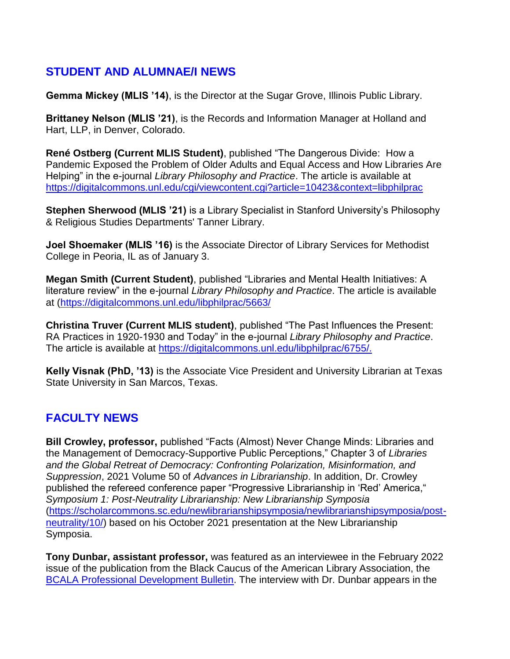### **STUDENT AND ALUMNAE/I NEWS**

**Gemma Mickey (MLIS '14)**, is the Director at the Sugar Grove, Illinois Public Library.

**Brittaney Nelson (MLIS '21)**, is the Records and Information Manager at Holland and Hart, LLP, in Denver, Colorado.

**René Ostberg (Current MLIS Student)**, published "The Dangerous Divide: How a Pandemic Exposed the Problem of Older Adults and Equal Access and How Libraries Are Helping" in the e-journal *Library Philosophy and Practice*. The article is available at [https://digitalcommons.unl.edu/cgi/viewcontent.cgi?article=10423&context=libphilprac](https://connect.dom.edu/page.redir?target=https%3a%2f%2fdigitalcommons.unl.edu%2fcgi%2fviewcontent.cgi%3farticle%3d10423%26context%3dlibphilprac&srcid=33979&srctid=1&erid=6410116&trid=)

**Stephen Sherwood (MLIS '21)** is a Library Specialist in Stanford University's Philosophy & Religious Studies Departments' Tanner Library.

**Joel Shoemaker (MLIS '16)** is the Associate Director of Library Services for Methodist College in Peoria, IL as of January 3.

**Megan Smith (Current Student)**, published "Libraries and Mental Health Initiatives: A literature review" in the e-journal *Library Philosophy and Practice*. The article is available at [\(https://digitalcommons.unl.edu/libphilprac/5663/](https://connect.dom.edu/page.redir?target=https%3a%2f%2fdigitalcommons.unl.edu%2flibphilprac%2f5663%2f&srcid=33979&srctid=1&erid=6410116&trid=)

**Christina Truver (Current MLIS student)**, published "The Past Influences the Present: RA Practices in 1920-1930 and Today" in the e-journal *Library Philosophy and Practice*. The article is available at [https://digitalcommons.unl.edu/libphilprac/6755/.](https://connect.dom.edu/page.redir?target=https%3a%2f%2fdigitalcommons.unl.edu%2flibphilprac%2f6755%2f.&srcid=33979&srctid=1&erid=6410116&trid=)

**Kelly Visnak (PhD, '13)** is the Associate Vice President and University Librarian at Texas State University in San Marcos, Texas.

## **FACULTY NEWS**

**Bill Crowley, professor,** published "Facts (Almost) Never Change Minds: Libraries and the Management of Democracy-Supportive Public Perceptions," Chapter 3 of *Libraries and the Global Retreat of Democracy: Confronting Polarization, Misinformation, and Suppression*, 2021 Volume 50 of *Advances in Librarianship*. In addition, Dr. Crowley published the refereed conference paper "Progressive Librarianship in 'Red' America," *Symposium 1: Post-Neutrality Librarianship: New Librarianship Symposia* [\(https://scholarcommons.sc.edu/newlibrarianshipsymposia/newlibrarianshipsymposia/post](https://connect.dom.edu/page.redir?target=https%3a%2f%2fscholarcommons.sc.edu%2fnewlibrarianshipsymposia%2fnewlibrarianshipsymposia%2fpost-neutrality%2f10%2f&srcid=33979&srctid=1&erid=6410116&trid=)[neutrality/10/\)](https://connect.dom.edu/page.redir?target=https%3a%2f%2fscholarcommons.sc.edu%2fnewlibrarianshipsymposia%2fnewlibrarianshipsymposia%2fpost-neutrality%2f10%2f&srcid=33979&srctid=1&erid=6410116&trid=) based on his October 2021 presentation at the New Librarianship Symposia.

**Tony Dunbar, assistant professor,** was featured as an interviewee in the February 2022 issue of the publication from the Black Caucus of the American Library Association, the [BCALA Professional Development Bulletin.](https://connect.dom.edu/page.redir?target=http%3a%2f%2fmcusercontent.com%2f926fbf6a3eef5b77295ef599f%2ffiles%2f1a48717f-4936-c5ef-dece-c61d54e1325b%2fBCALA.pdf&srcid=33979&srctid=1&erid=6410116&trid=) The interview with Dr. Dunbar appears in the